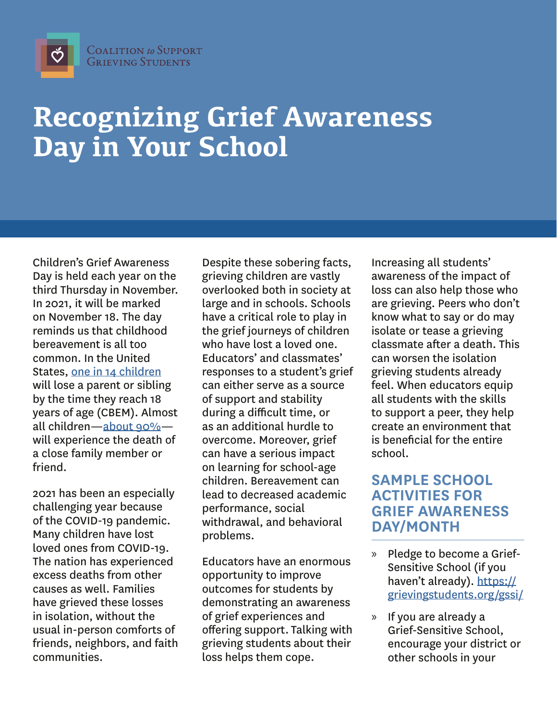$\breve{\mathrm{C}}$ 

## **Recognizing Grief Awareness Day in Your School**

Children's Grief Awareness Day is held each year on the third Thursday in November. In 2021, it will be marked on November 18. The day reminds us that childhood bereavement is all too common. In the United States, [one in 14 children](https://doi.apa.org/fulltext/2020-06195-001.pdf) will lose a parent or sibling by the time they reach 18 years of age (CBEM). Almost all children[—about 90%](https://grievingstudents.org/wp-content/uploads/2016/08/Final-Clinical-Report-Supporting-the-Grieving-Child-and-Family.pdf) will experience the death of a close family member or friend.

2021 has been an especially challenging year because of the COVID-19 pandemic. Many children have lost loved ones from COVID-19. The nation has experienced excess deaths from other causes as well. Families have grieved these losses in isolation, without the usual in-person comforts of friends, neighbors, and faith communities.

Despite these sobering facts, grieving children are vastly overlooked both in society at large and in schools. Schools have a critical role to play in the grief journeys of children who have lost a loved one. Educators' and classmates' responses to a student's grief can either serve as a source of support and stability during a difficult time, or as an additional hurdle to overcome. Moreover, grief can have a serious impact on learning for school-age children. Bereavement can lead to decreased academic performance, social withdrawal, and behavioral problems.

Educators have an enormous opportunity to improve outcomes for students by demonstrating an awareness of grief experiences and offering support. Talking with grieving students about their loss helps them cope.

Increasing all students' awareness of the impact of loss can also help those who are grieving. Peers who don't know what to say or do may isolate or tease a grieving classmate after a death. This can worsen the isolation grieving students already feel. When educators equip all students with the skills to support a peer, they help create an environment that is beneficial for the entire school.

## **SAMPLE SCHOOL ACTIVITIES FOR GRIEF AWARENESS DAY/MONTH**

- » Pledge to become a Grief-Sensitive School (if you haven't already). [https://](https://grievingstudents.org/gssi/) [grievingstudents.org/gssi/](https://grievingstudents.org/gssi/)
- » If you are already a Grief-Sensitive School, encourage your district or other schools in your